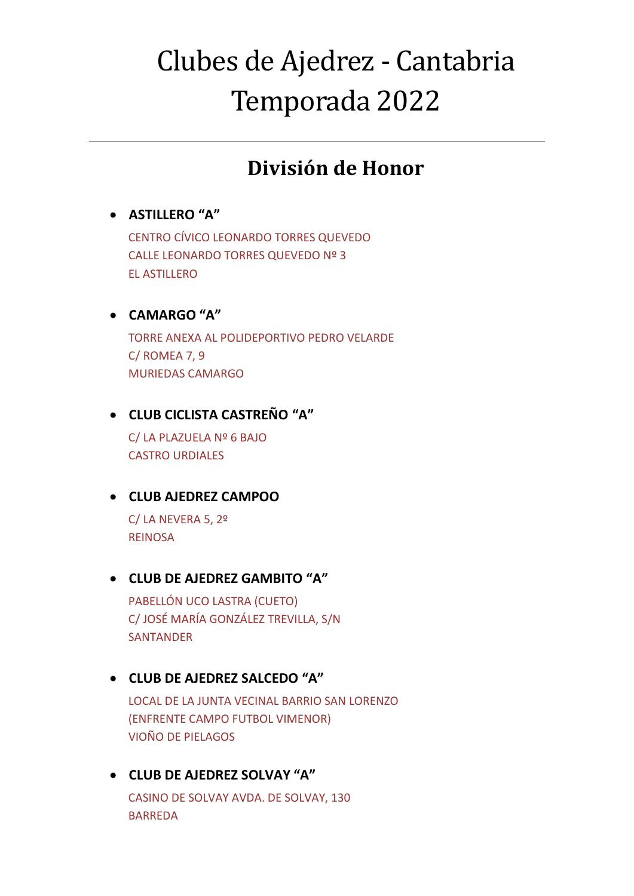# Clubes de Ajedrez - Cantabria Temporada 2022

## **División de Honor**

## • **ASTILLERO "A"**

CENTRO CÍVICO LEONARDO TORRES QUEVEDO CALLE LEONARDO TORRES QUEVEDO Nº 3 EL ASTILLERO

### • **CAMARGO "A"**

TORRE ANEXA AL POLIDEPORTIVO PEDRO VELARDE C/ ROMEA 7, 9 MURIEDAS CAMARGO

## • **CLUB CICLISTA CASTREÑO "A"**

C/ LA PLAZUELA Nº 6 BAJO CASTRO URDIALES

## • **CLUB AJEDREZ CAMPOO**

C/ LA NEVERA 5, 2º REINOSA

#### • **CLUB DE AJEDREZ GAMBITO "A"**

PABELLÓN UCO LASTRA (CUETO) C/ JOSÉ MARÍA GONZÁLEZ TREVILLA, S/N **SANTANDER** 

## • **CLUB DE AJEDREZ SALCEDO "A"**

LOCAL DE LA JUNTA VECINAL BARRIO SAN LORENZO (ENFRENTE CAMPO FUTBOL VIMENOR) VIOÑO DE PIELAGOS

## • **CLUB DE AJEDREZ SOLVAY "A"**

CASINO DE SOLVAY AVDA. DE SOLVAY, 130 BARREDA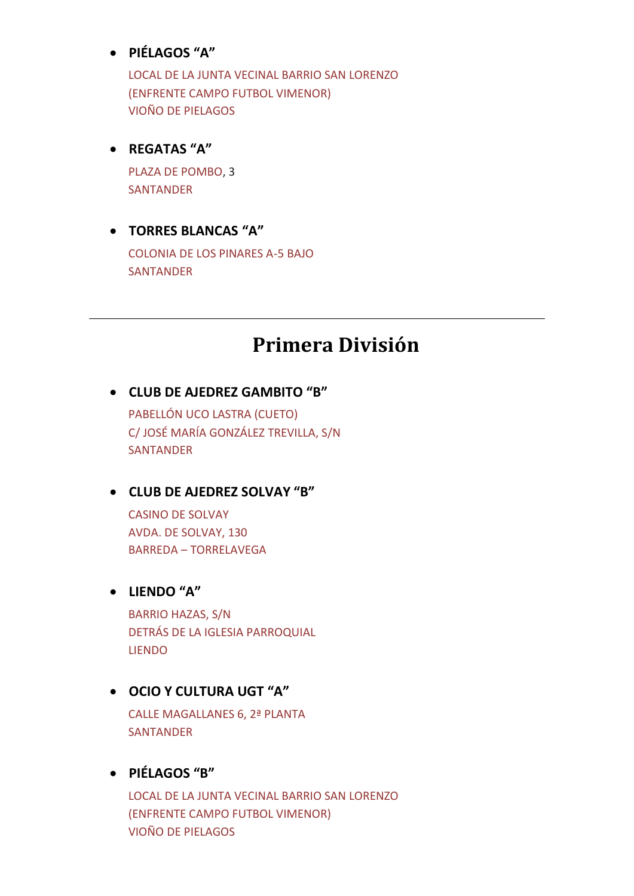#### • **PIÉLAGOS "A"**

LOCAL DE LA JUNTA VECINAL BARRIO SAN LORENZO (ENFRENTE CAMPO FUTBOL VIMENOR) VIOÑO DE PIELAGOS

#### • **REGATAS "A"**

PLAZA DE POMBO, 3 SANTANDER

## • **TORRES BLANCAS "A"**

COLONIA DE LOS PINARES A-5 BAJO SANTANDER

## **Primera División**

#### • **CLUB DE AJEDREZ GAMBITO "B"**

PABELLÓN UCO LASTRA (CUETO) C/ JOSÉ MARÍA GONZÁLEZ TREVILLA, S/N SANTANDER

#### • **CLUB DE AJEDREZ SOLVAY "B"**

CASINO DE SOLVAY AVDA. DE SOLVAY, 130 BARREDA – TORRELAVEGA

#### • **LIENDO "A"**

BARRIO HAZAS, S/N DETRÁS DE LA IGLESIA PARROQUIAL LIENDO

#### • **OCIO Y CULTURA UGT "A"**

CALLE MAGALLANES 6, 2ª PLANTA SANTANDER

#### • **PIÉLAGOS "B"**

LOCAL DE LA JUNTA VECINAL BARRIO SAN LORENZO (ENFRENTE CAMPO FUTBOL VIMENOR) VIOÑO DE PIELAGOS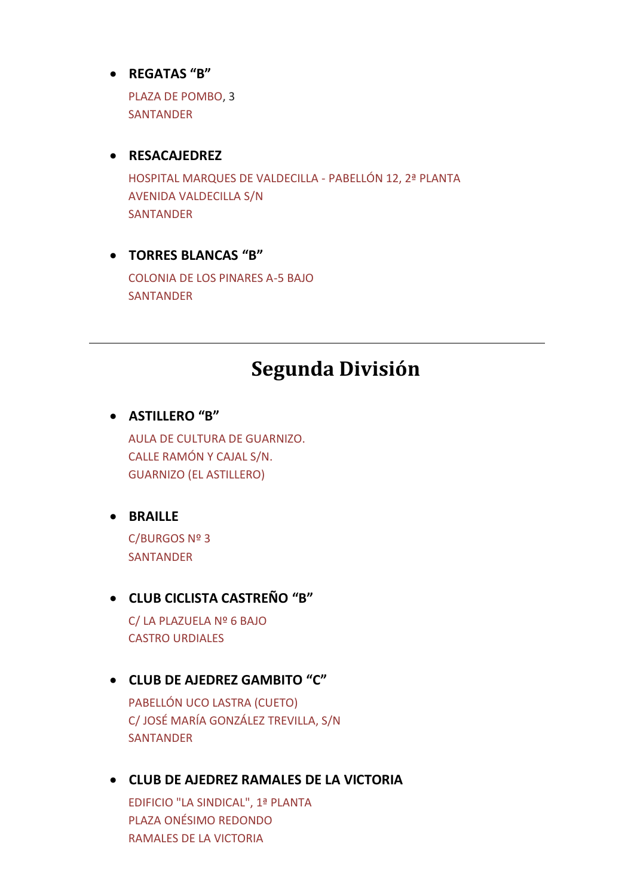#### • **REGATAS "B"**

PLAZA DE POMBO, 3 **SANTANDER** 

#### • **RESACAJEDREZ**

HOSPITAL MARQUES DE VALDECILLA - PABELLÓN 12, 2ª PLANTA AVENIDA VALDECILLA S/N SANTANDER

#### • **TORRES BLANCAS "B"**

COLONIA DE LOS PINARES A-5 BAJO SANTANDER

## **Segunda División**

#### • **ASTILLERO "B"**

AULA DE CULTURA DE GUARNIZO. CALLE RAMÓN Y CAJAL S/N. GUARNIZO (EL ASTILLERO)

## • **BRAILLE**

C/BURGOS Nº 3 SANTANDER

#### • **CLUB CICLISTA CASTREÑO "B"**

C/ LA PLAZUELA Nº 6 BAJO CASTRO URDIALES

#### • **CLUB DE AJEDREZ GAMBITO "C"**

PABELLÓN UCO LASTRA (CUETO) C/ JOSÉ MARÍA GONZÁLEZ TREVILLA, S/N SANTANDER

#### • **CLUB DE AJEDREZ RAMALES DE LA VICTORIA**

EDIFICIO "LA SINDICAL", 1ª PLANTA PLAZA ONÉSIMO REDONDO RAMALES DE LA VICTORIA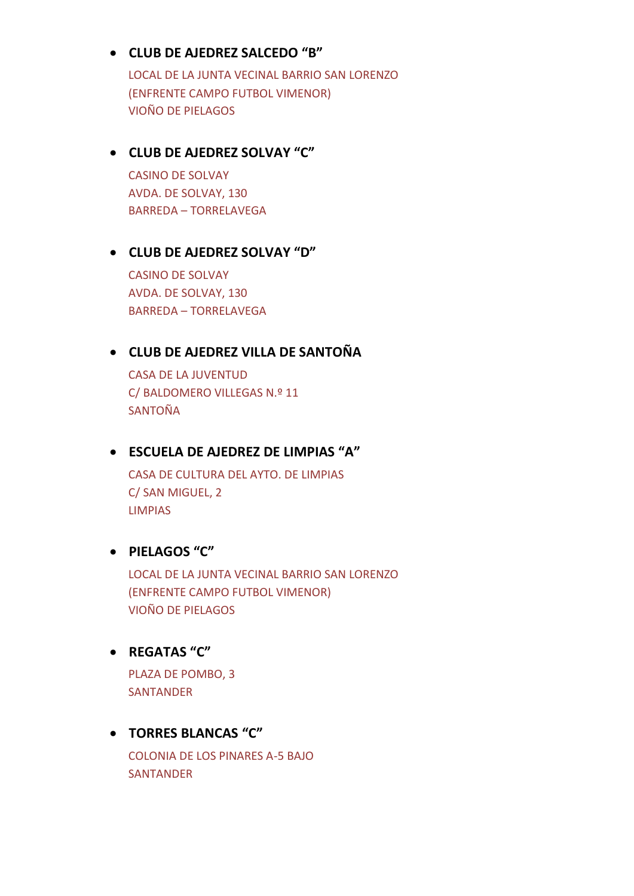#### • **CLUB DE AJEDREZ SALCEDO "B"**

LOCAL DE LA JUNTA VECINAL BARRIO SAN LORENZO (ENFRENTE CAMPO FUTBOL VIMENOR) VIOÑO DE PIELAGOS

### • **CLUB DE AJEDREZ SOLVAY "C"**

CASINO DE SOLVAY AVDA. DE SOLVAY, 130 BARREDA – TORRELAVEGA

#### • **CLUB DE AJEDREZ SOLVAY "D"**

CASINO DE SOLVAY AVDA. DE SOLVAY, 130 BARREDA – TORRELAVEGA

#### • **CLUB DE AJEDREZ VILLA DE SANTOÑA**

CASA DE LA JUVENTUD C/ BALDOMERO VILLEGAS N.º 11 SANTOÑA

#### • **ESCUELA DE AJEDREZ DE LIMPIAS "A"**

CASA DE CULTURA DEL AYTO. DE LIMPIAS C/ SAN MIGUEL, 2 LIMPIAS

#### • **PIELAGOS "C"**

LOCAL DE LA JUNTA VECINAL BARRIO SAN LORENZO (ENFRENTE CAMPO FUTBOL VIMENOR) VIOÑO DE PIELAGOS

#### • **REGATAS "C"**

PLAZA DE POMBO, 3 SANTANDER

#### • **TORRES BLANCAS "C"**

COLONIA DE LOS PINARES A-5 BAJO SANTANDER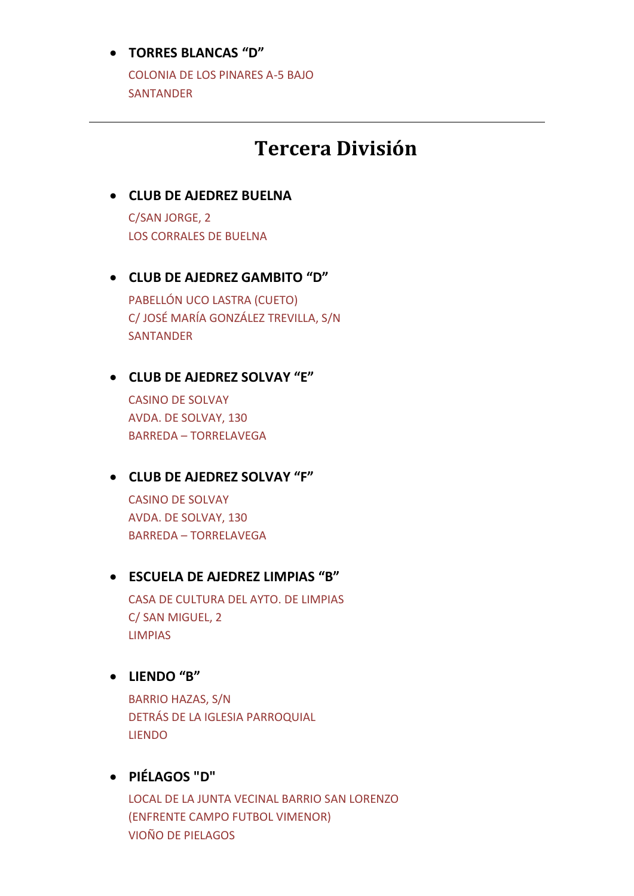#### • **TORRES BLANCAS "D"**

COLONIA DE LOS PINARES A-5 BAJO **SANTANDER** 

## **Tercera División**

## • **CLUB DE AJEDREZ BUELNA** C/SAN JORGE, 2

LOS CORRALES DE BUELNA

### • **CLUB DE AJEDREZ GAMBITO "D"**

PABELLÓN UCO LASTRA (CUETO) C/ JOSÉ MARÍA GONZÁLEZ TREVILLA, S/N **SANTANDER** 

#### • **CLUB DE AJEDREZ SOLVAY "E"**

CASINO DE SOLVAY AVDA. DE SOLVAY, 130 BARREDA – TORRELAVEGA

#### • **CLUB DE AJEDREZ SOLVAY "F"**

CASINO DE SOLVAY AVDA. DE SOLVAY, 130 BARREDA – TORRELAVEGA

#### • **ESCUELA DE AJEDREZ LIMPIAS "B"**

CASA DE CULTURA DEL AYTO. DE LIMPIAS C/ SAN MIGUEL, 2 LIMPIAS

#### • **LIENDO "B"**

BARRIO HAZAS, S/N DETRÁS DE LA IGLESIA PARROQUIAL LIENDO

## • **PIÉLAGOS "D"**

LOCAL DE LA JUNTA VECINAL BARRIO SAN LORENZO (ENFRENTE CAMPO FUTBOL VIMENOR) VIOÑO DE PIELAGOS